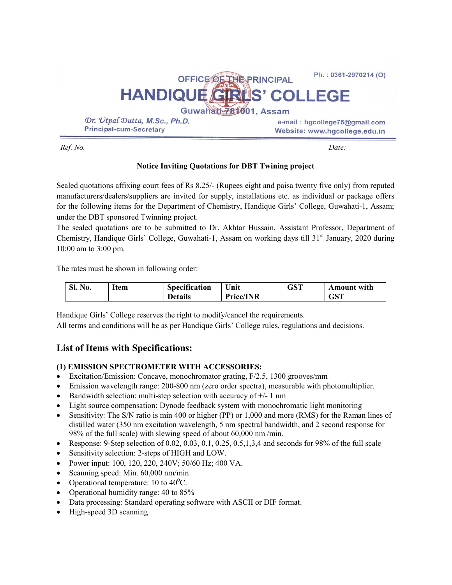| OFFICE OF THE PRINCIPAL                                         | Ph.: 0361-2970214 (O)                                          |  |  |  |  |
|-----------------------------------------------------------------|----------------------------------------------------------------|--|--|--|--|
| HANDIQUE GRUS' COLLEGE                                          |                                                                |  |  |  |  |
| Guwahati-781001, Assam                                          |                                                                |  |  |  |  |
| Dr. Utpal Dutta, M.Sc., Ph.D.<br><b>Principal-cum-Secretary</b> | e-mail: hgcollege75@gmail.com<br>Website: www.hgcollege.edu.in |  |  |  |  |

Ref. No. Date:

## Notice Inviting Quotations for DBT Twining project

Sealed quotations affixing court fees of Rs 8.25/- (Rupees eight and paisa twenty five only) from reputed manufacturers/dealers/suppliers are invited for supply, installations etc. as individual or package offers for the following items for the Department of Chemistry, Handique Girls' College, Guwahati-1, Assam; under the DBT sponsored Twinning project.

The sealed quotations are to be submitted to Dr. Akhtar Hussain, Assistant Professor, Department of Chemistry, Handique Girls' College, Guwahati-1, Assam on working days till 31<sup>st</sup> January, 2020 during 10:00 am to 3:00 pm.

The rates must be shown in following order:

| $SL_1$<br>N <sub>0</sub> . | Item | <b>Specification</b> | Unit             | GST | <b>Amount</b> with |
|----------------------------|------|----------------------|------------------|-----|--------------------|
|                            |      | <b>Details</b>       | <b>Price/INR</b> |     | GST                |

Handique Girls' College reserves the right to modify/cancel the requirements.

All terms and conditions will be as per Handique Girls' College rules, regulations and decisions.

# List of Items with Specifications:

## (1) EMISSION SPECTROMETER WITH ACCESSORIES:

- Excitation/Emission: Concave, monochromator grating, F/2.5, 1300 grooves/mm
- Emission wavelength range: 200-800 nm (zero order spectra), measurable with photomultiplier.
- Bandwidth selection: multi-step selection with accuracy of  $+/-1$  nm
- Light source compensation: Dynode feedback system with monochromatic light monitoring
- Sensitivity: The S/N ratio is min 400 or higher (PP) or 1,000 and more (RMS) for the Raman lines of distilled water (350 nm excitation wavelength, 5 nm spectral bandwidth, and 2 second response for 98% of the full scale) with slewing speed of about 60,000 nm /min.
- Response: 9-Step selection of  $0.02, 0.03, 0.1, 0.25, 0.5, 1.3, 4$  and seconds for 98% of the full scale
- Sensitivity selection: 2-steps of HIGH and LOW.
- Power input: 100, 120, 220, 240V; 50/60 Hz; 400 VA.
- Scanning speed: Min. 60,000 nm/min.
- Operational temperature: 10 to  $40^{\circ}$ C.
- Operational humidity range: 40 to 85%
- Data processing: Standard operating software with ASCII or DIF format.
- High-speed 3D scanning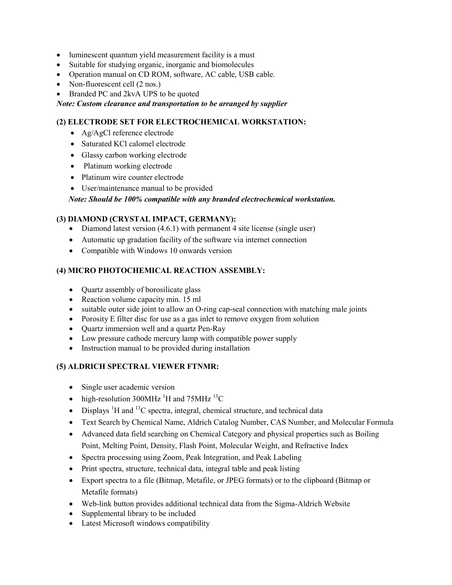- luminescent quantum yield measurement facility is a must
- Suitable for studying organic, inorganic and biomolecules
- Operation manual on CD ROM, software, AC cable, USB cable.
- Non-fluorescent cell (2 nos.)
- Branded PC and 2kvA UPS to be quoted

Note: Custom clearance and transportation to be arranged by supplier

## (2) ELECTRODE SET FOR ELECTROCHEMICAL WORKSTATION:

- Ag/AgCl reference electrode
- Saturated KCl calomel electrode
- Glassy carbon working electrode
- Platinum working electrode
- Platinum wire counter electrode
- User/maintenance manual to be provided

Note: Should be 100% compatible with any branded electrochemical workstation.

## (3) DIAMOND (CRYSTAL IMPACT, GERMANY):

- Diamond latest version (4.6.1) with permanent 4 site license (single user)
- Automatic up gradation facility of the software via internet connection
- Compatible with Windows 10 onwards version

## (4) MICRO PHOTOCHEMICAL REACTION ASSEMBLY:

- Ouartz assembly of borosilicate glass
- Reaction volume capacity min. 15 ml
- suitable outer side joint to allow an O-ring cap-seal connection with matching male joints
- Porosity E filter disc for use as a gas inlet to remove oxygen from solution
- Quartz immersion well and a quartz Pen-Ray
- Low pressure cathode mercury lamp with compatible power supply
- Instruction manual to be provided during installation

## (5) ALDRICH SPECTRAL VIEWER FTNMR:

- Single user academic version
- high-resolution 300MHz  $^{1}$ H and 75MHz  $^{13}$ C
- Displays  ${}^{1}H$  and  ${}^{13}C$  spectra, integral, chemical structure, and technical data
- Text Search by Chemical Name, Aldrich Catalog Number, CAS Number, and Molecular Formula
- Advanced data field searching on Chemical Category and physical properties such as Boiling Point, Melting Point, Density, Flash Point, Molecular Weight, and Refractive Index
- Spectra processing using Zoom, Peak Integration, and Peak Labeling
- Print spectra, structure, technical data, integral table and peak listing
- Export spectra to a file (Bitmap, Metafile, or JPEG formats) or to the clipboard (Bitmap or Metafile formats)
- Web-link button provides additional technical data from the Sigma-Aldrich Website
- Supplemental library to be included
- Latest Microsoft windows compatibility